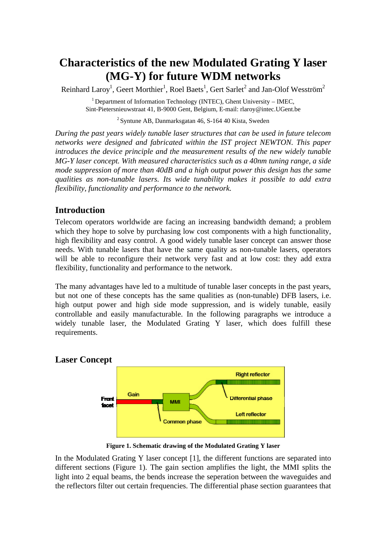# **Characteristics of the new Modulated Grating Y laser (MG-Y) for future WDM networks**

Reinhard Laroy<sup>1</sup>, Geert Morthier<sup>1</sup>, Roel Baets<sup>1</sup>, Gert Sarlet<sup>2</sup> and Jan-Olof Wesström<sup>2</sup>

 $1$  Department of Information Technology (INTEC), Ghent University – IMEC, Sint-Pietersnieuwstraat 41, B-9000 Gent, Belgium, E-mail: rlaroy@intec.UGent.be

 $2$ Syntune AB, Danmarksgatan 46, S-164 40 Kista, Sweden

*During the past years widely tunable laser structures that can be used in future telecom networks were designed and fabricated within the IST project NEWTON. This paper introduces the device principle and the measurement results of the new widely tunable MG-Y laser concept. With measured characteristics such as a 40nm tuning range, a side mode suppression of more than 40dB and a high output power this design has the same qualities as non-tunable lasers. Its wide tunability makes it possible to add extra flexibility, functionality and performance to the network.* 

## **Introduction**

Telecom operators worldwide are facing an increasing bandwidth demand; a problem which they hope to solve by purchasing low cost components with a high functionality, high flexibility and easy control. A good widely tunable laser concept can answer those needs. With tunable lasers that have the same quality as non-tunable lasers, operators will be able to reconfigure their network very fast and at low cost: they add extra flexibility, functionality and performance to the network.

The many advantages have led to a multitude of tunable laser concepts in the past years, but not one of these concepts has the same qualities as (non-tunable) DFB lasers, i.e. high output power and high side mode suppression, and is widely tunable, easily controllable and easily manufacturable. In the following paragraphs we introduce a widely tunable laser, the Modulated Grating Y laser, which does fulfill these requirements.

## **Laser Concept**



**Figure 1. Schematic drawing of the Modulated Grating Y laser**

In the Modulated Grating Y laser concept [1], the different functions are separated into different sections (Figure 1). The gain section amplifies the light, the MMI splits the light into 2 equal beams, the bends increase the seperation between the waveguides and the reflectors filter out certain frequencies. The differential phase section guarantees that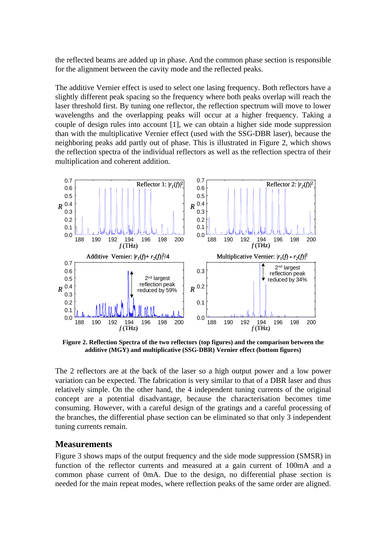the reflected beams are added up in phase. And the common phase section is responsible for the alignment between the cavity mode and the reflected peaks.

The additive Vernier effect is used to select one lasing frequency. Both reflectors have a slightly different peak spacing so the frequency where both peaks overlap will reach the laser threshold first. By tuning one reflector, the reflection spectrum will move to lower wavelengths and the overlapping peaks will occur at a higher frequency. Taking a couple of design rules into account [1], we can obtain a higher side mode suppression than with the multiplicative Vernier effect (used with the SSG-DBR laser), because the neighboring peaks add partly out of phase. This is illustrated in Figure 2, which shows the reflection spectra of the individual reflectors as well as the reflection spectra of their multiplication and coherent addition.



**Figure 2. Reflection Spectra of the two reflectors (top figures) and the comparison between the additive (MGY) and multiplicative (SSG-DBR) Vernier effect (bottom figures)**

The 2 reflectors are at the back of the laser so a high output power and a low power variation can be expected. The fabrication is very similar to that of a DBR laser and thus relatively simple. On the other hand, the 4 independent tuning currents of the original concept are a potential disadvantage, because the characterisation becomes time consuming. However, with a careful design of the gratings and a careful processing of the branches, the differential phase section can be eliminated so that only 3 independent tuning currents remain.

#### **Measurements**

Figure 3 shows maps of the output frequency and the side mode suppression (SMSR) in function of the reflector currents and measured at a gain current of 100mA and a common phase current of 0mA. Due to the design, no differential phase section is needed for the main repeat modes, where reflection peaks of the same order are aligned.